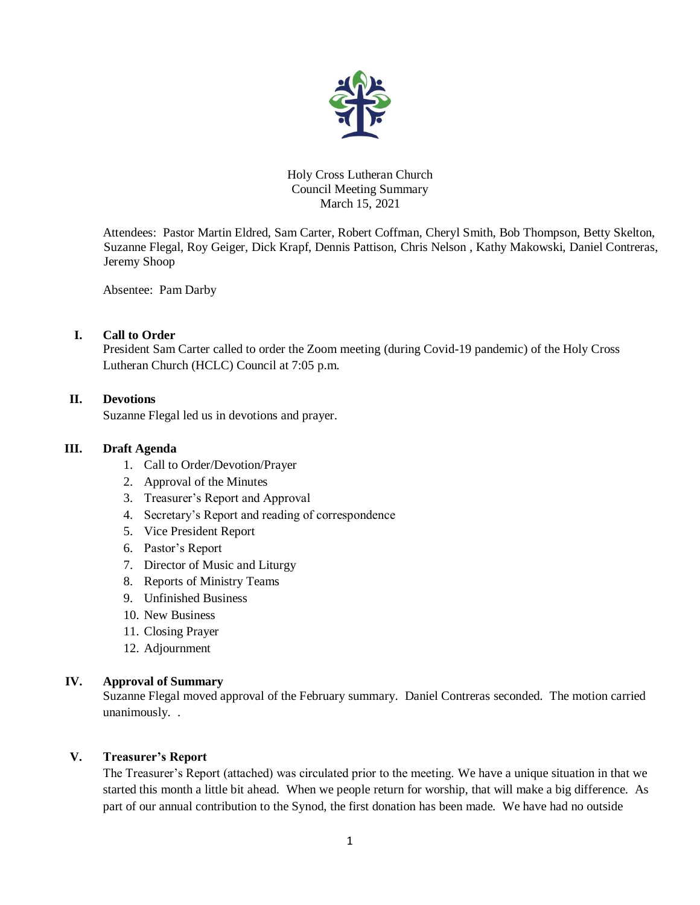

### Holy Cross Lutheran Church Council Meeting Summary March 15, 2021

Attendees: Pastor Martin Eldred, Sam Carter, Robert Coffman, Cheryl Smith, Bob Thompson, Betty Skelton, Suzanne Flegal, Roy Geiger, Dick Krapf, Dennis Pattison, Chris Nelson , Kathy Makowski, Daniel Contreras, Jeremy Shoop

Absentee: Pam Darby

# **I. Call to Order**

President Sam Carter called to order the Zoom meeting (during Covid-19 pandemic) of the Holy Cross Lutheran Church (HCLC) Council at 7:05 p.m.

# **II. Devotions**

Suzanne Flegal led us in devotions and prayer.

## **III. Draft Agenda**

- 1. Call to Order/Devotion/Prayer
- 2. Approval of the Minutes
- 3. Treasurer's Report and Approval
- 4. Secretary's Report and reading of correspondence
- 5. Vice President Report
- 6. Pastor's Report
- 7. Director of Music and Liturgy
- 8. Reports of Ministry Teams
- 9. Unfinished Business
- 10. New Business
- 11. Closing Prayer
- 12. Adjournment

## **IV. Approval of Summary**

Suzanne Flegal moved approval of the February summary. Daniel Contreras seconded. The motion carried unanimously. .

# **V. Treasurer's Report**

The Treasurer's Report (attached) was circulated prior to the meeting. We have a unique situation in that we started this month a little bit ahead. When we people return for worship, that will make a big difference. As part of our annual contribution to the Synod, the first donation has been made. We have had no outside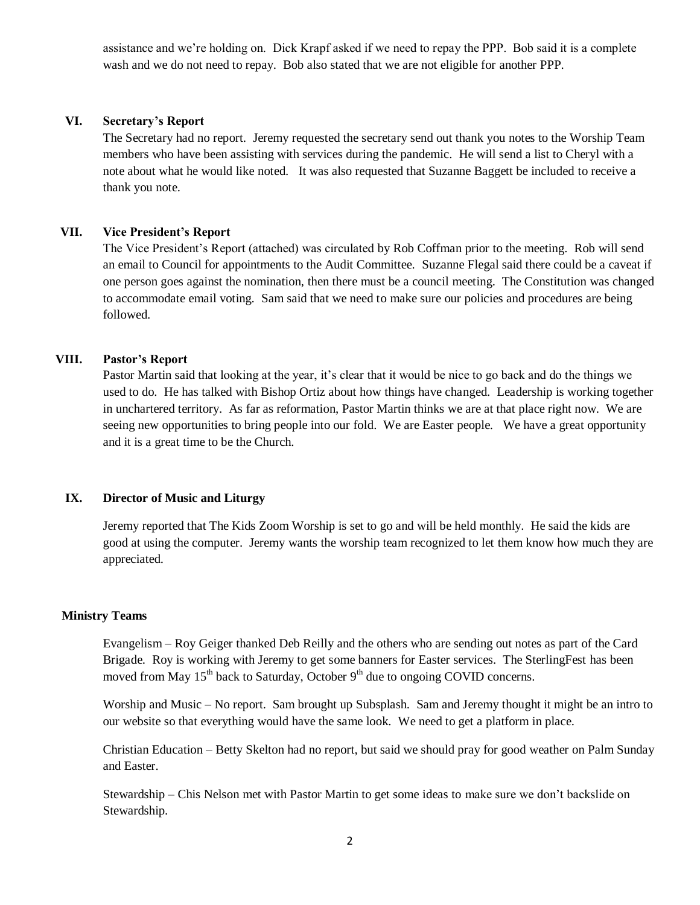assistance and we're holding on. Dick Krapf asked if we need to repay the PPP. Bob said it is a complete wash and we do not need to repay. Bob also stated that we are not eligible for another PPP.

## **VI. Secretary's Report**

The Secretary had no report. Jeremy requested the secretary send out thank you notes to the Worship Team members who have been assisting with services during the pandemic. He will send a list to Cheryl with a note about what he would like noted. It was also requested that Suzanne Baggett be included to receive a thank you note.

### **VII. Vice President's Report**

The Vice President's Report (attached) was circulated by Rob Coffman prior to the meeting. Rob will send an email to Council for appointments to the Audit Committee. Suzanne Flegal said there could be a caveat if one person goes against the nomination, then there must be a council meeting. The Constitution was changed to accommodate email voting. Sam said that we need to make sure our policies and procedures are being followed.

### **VIII. Pastor's Report**

Pastor Martin said that looking at the year, it's clear that it would be nice to go back and do the things we used to do. He has talked with Bishop Ortiz about how things have changed. Leadership is working together in unchartered territory. As far as reformation, Pastor Martin thinks we are at that place right now. We are seeing new opportunities to bring people into our fold. We are Easter people. We have a great opportunity and it is a great time to be the Church.

# **IX. Director of Music and Liturgy**

Jeremy reported that The Kids Zoom Worship is set to go and will be held monthly. He said the kids are good at using the computer. Jeremy wants the worship team recognized to let them know how much they are appreciated.

#### **Ministry Teams**

Evangelism – Roy Geiger thanked Deb Reilly and the others who are sending out notes as part of the Card Brigade. Roy is working with Jeremy to get some banners for Easter services. The SterlingFest has been moved from May  $15<sup>th</sup>$  back to Saturday, October  $9<sup>th</sup>$  due to ongoing COVID concerns.

Worship and Music – No report. Sam brought up Subsplash. Sam and Jeremy thought it might be an intro to our website so that everything would have the same look. We need to get a platform in place.

Christian Education – Betty Skelton had no report, but said we should pray for good weather on Palm Sunday and Easter.

Stewardship – Chis Nelson met with Pastor Martin to get some ideas to make sure we don't backslide on Stewardship.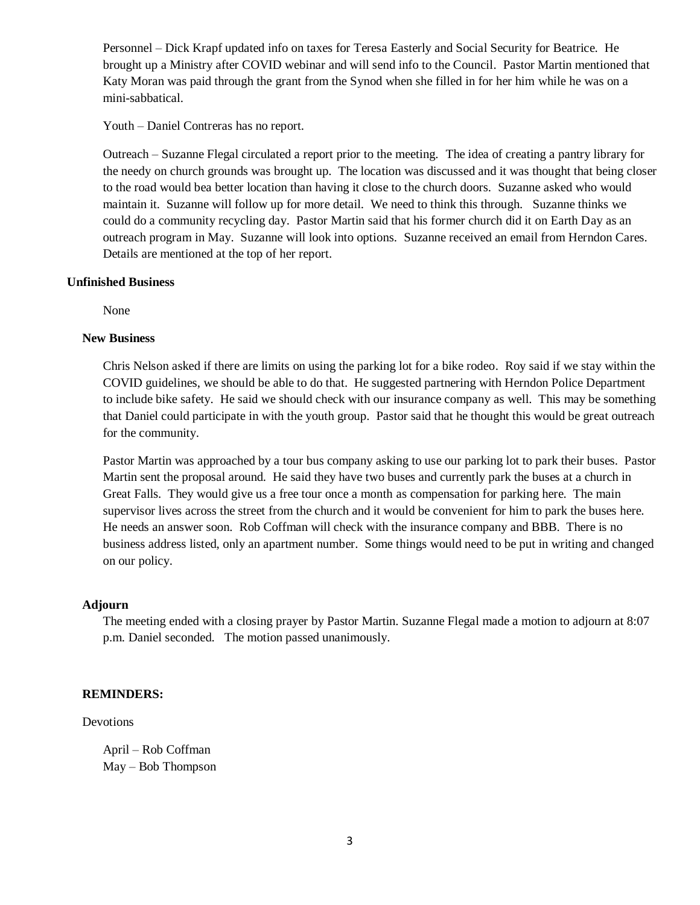Personnel – Dick Krapf updated info on taxes for Teresa Easterly and Social Security for Beatrice. He brought up a Ministry after COVID webinar and will send info to the Council. Pastor Martin mentioned that Katy Moran was paid through the grant from the Synod when she filled in for her him while he was on a mini-sabbatical.

Youth – Daniel Contreras has no report.

Outreach – Suzanne Flegal circulated a report prior to the meeting. The idea of creating a pantry library for the needy on church grounds was brought up. The location was discussed and it was thought that being closer to the road would bea better location than having it close to the church doors. Suzanne asked who would maintain it. Suzanne will follow up for more detail. We need to think this through. Suzanne thinks we could do a community recycling day. Pastor Martin said that his former church did it on Earth Day as an outreach program in May. Suzanne will look into options. Suzanne received an email from Herndon Cares. Details are mentioned at the top of her report.

#### **Unfinished Business**

None

#### **New Business**

Chris Nelson asked if there are limits on using the parking lot for a bike rodeo. Roy said if we stay within the COVID guidelines, we should be able to do that. He suggested partnering with Herndon Police Department to include bike safety. He said we should check with our insurance company as well. This may be something that Daniel could participate in with the youth group. Pastor said that he thought this would be great outreach for the community.

Pastor Martin was approached by a tour bus company asking to use our parking lot to park their buses. Pastor Martin sent the proposal around. He said they have two buses and currently park the buses at a church in Great Falls. They would give us a free tour once a month as compensation for parking here. The main supervisor lives across the street from the church and it would be convenient for him to park the buses here. He needs an answer soon. Rob Coffman will check with the insurance company and BBB. There is no business address listed, only an apartment number. Some things would need to be put in writing and changed on our policy.

### **Adjourn**

The meeting ended with a closing prayer by Pastor Martin. Suzanne Flegal made a motion to adjourn at 8:07 p.m. Daniel seconded. The motion passed unanimously.

#### **REMINDERS:**

#### Devotions

April – Rob Coffman May – Bob Thompson